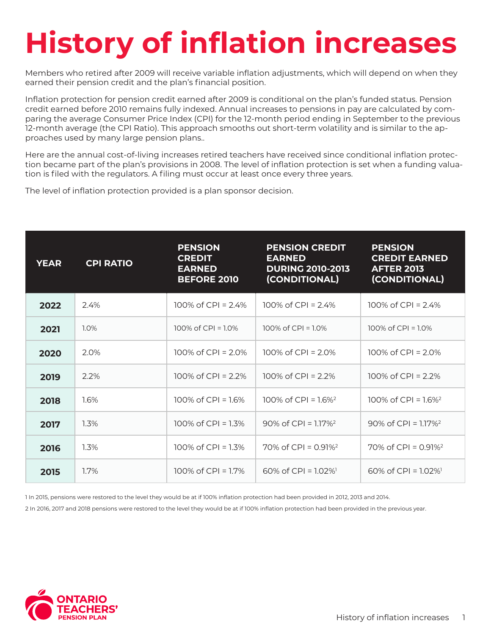## **History of inflation increases**

Members who retired after 2009 will receive variable inflation adjustments, which will depend on when they earned their pension credit and the plan's financial position.

Inflation protection for pension credit earned after 2009 is conditional on the plan's funded status. Pension credit earned before 2010 remains fully indexed. Annual increases to pensions in pay are calculated by comparing the average Consumer Price Index (CPI) for the 12-month period ending in September to the previous 12-month average (the CPI Ratio). This approach smooths out short-term volatility and is similar to the approaches used by many large pension plans..

Here are the annual cost-of-living increases retired teachers have received since conditional inflation protection became part of the plan's provisions in 2008. The level of inflation protection is set when a funding valuation is filed with the regulators. A filing must occur at least once every three years.

The level of inflation protection provided is a plan sponsor decision.

| <b>YEAR</b> | <b>CPI RATIO</b> | <b>PENSION</b><br><b>CREDIT</b><br><b>EARNED</b><br><b>BEFORE 2010</b> | <b>PENSION CREDIT</b><br><b>EARNED</b><br><b>DURING 2010-2013</b><br>(CONDITIONAL) | <b>PENSION</b><br><b>CREDIT EARNED</b><br><b>AFTER 2013</b><br>(CONDITIONAL) |
|-------------|------------------|------------------------------------------------------------------------|------------------------------------------------------------------------------------|------------------------------------------------------------------------------|
| 2022        | 2.4%             | 100% of CPI = $2.4%$                                                   | 100% of CPI = $2.4%$                                                               | 100% of CPI = $2.4\%$                                                        |
| 2021        | 1.0%             | 100% of CPI = $1.0\%$                                                  | 100% of CPI = $1.0\%$                                                              | 100% of CPI = $1.0\%$                                                        |
| 2020        | 2.0%             | 100\% of CPI = $2.0\%$                                                 | 100% of CPI = $2.0\%$                                                              | 100\% of CPI = $2.0\%$                                                       |
| 2019        | 2.2%             | 100% of CPI = $2.2%$                                                   | 100% of CPI = $2.2%$                                                               | 100% of CPI = $2.2%$                                                         |
| 2018        | 1.6%             | 100% of CPI = $1.6\%$                                                  | 100% of CPI = $1.6\%$ <sup>2</sup>                                                 | 100\% of CPI = $1.6\%$ <sup>2</sup>                                          |
| 2017        | 1.3%             | 100% of CPI = $1.3\%$                                                  | 90\% of CPI = $1.17\%$ <sup>2</sup>                                                | $90\%$ of CPI = 1.17% <sup>2</sup>                                           |
| 2016        | 1.3%             | 100% of CPI = $1.3\%$                                                  | $70\%$ of CPI = 0.91% <sup>2</sup>                                                 | 70% of CPI = $0.91\%$ <sup>2</sup>                                           |
| 2015        | 1.7%             | 100% of CPI = $1.7\%$                                                  | $60\%$ of CPI = 1.02% <sup>1</sup>                                                 | $60\%$ of CPI = 1.02%                                                        |

1 In 2015, pensions were restored to the level they would be at if 100% inflation protection had been provided in 2012, 2013 and 2014.

2 In 2016, 2017 and 2018 pensions were restored to the level they would be at if 100% inflation protection had been provided in the previous year.